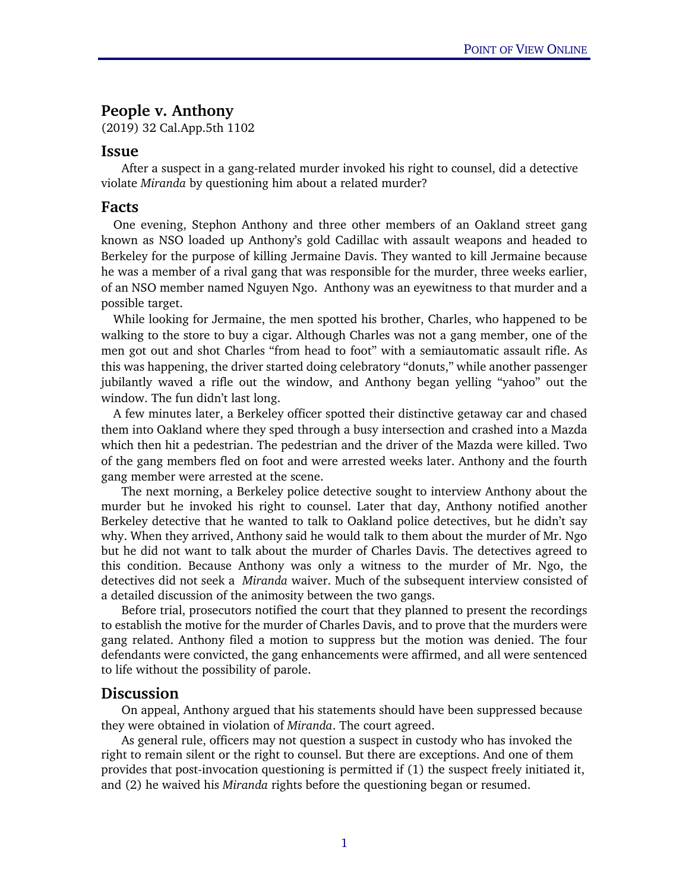## People v. Anthony

(2019) 32 Cal.App.5th 1102

## Issue

After a suspect in a gang-related murder invoked his right to counsel, did a detective violate *Miranda* by questioning him about a related murder?

## Facts

One evening, Stephon Anthony and three other members of an Oakland street gang known as NSO loaded up Anthony's gold Cadillac with assault weapons and headed to Berkeley for the purpose of killing Jermaine Davis. They wanted to kill Jermaine because he was a member of a rival gang that was responsible for the murder, three weeks earlier, of an NSO member named Nguyen Ngo. Anthony was an eyewitness to that murder and a possible target.

While looking for Jermaine, the men spotted his brother, Charles, who happened to be walking to the store to buy a cigar. Although Charles was not a gang member, one of the men got out and shot Charles "from head to foot" with a semiautomatic assault rifle. As this was happening, the driver started doing celebratory "donuts," while another passenger jubilantly waved a rifle out the window, and Anthony began yelling "yahoo" out the window. The fun didn't last long.

A few minutes later, a Berkeley officer spotted their distinctive getaway car and chased them into Oakland where they sped through a busy intersection and crashed into a Mazda which then hit a pedestrian. The pedestrian and the driver of the Mazda were killed. Two of the gang members fled on foot and were arrested weeks later. Anthony and the fourth gang member were arrested at the scene.

The next morning, a Berkeley police detective sought to interview Anthony about the murder but he invoked his right to counsel. Later that day, Anthony notified another Berkeley detective that he wanted to talk to Oakland police detectives, but he didn't say why. When they arrived, Anthony said he would talk to them about the murder of Mr. Ngo but he did not want to talk about the murder of Charles Davis. The detectives agreed to this condition. Because Anthony was only a witness to the murder of Mr. Ngo, the detectives did not seek a *Miranda* waiver. Much of the subsequent interview consisted of a detailed discussion of the animosity between the two gangs.

Before trial, prosecutors notified the court that they planned to present the recordings to establish the motive for the murder of Charles Davis, and to prove that the murders were gang related. Anthony filed a motion to suppress but the motion was denied. The four defendants were convicted, the gang enhancements were affirmed, and all were sentenced to life without the possibility of parole.

## Discussion

On appeal, Anthony argued that his statements should have been suppressed because they were obtained in violation of *Miranda*. The court agreed.

As general rule, officers may not question a suspect in custody who has invoked the right to remain silent or the right to counsel. But there are exceptions. And one of them provides that post-invocation questioning is permitted if (1) the suspect freely initiated it, and (2) he waived his *Miranda* rights before the questioning began or resumed.